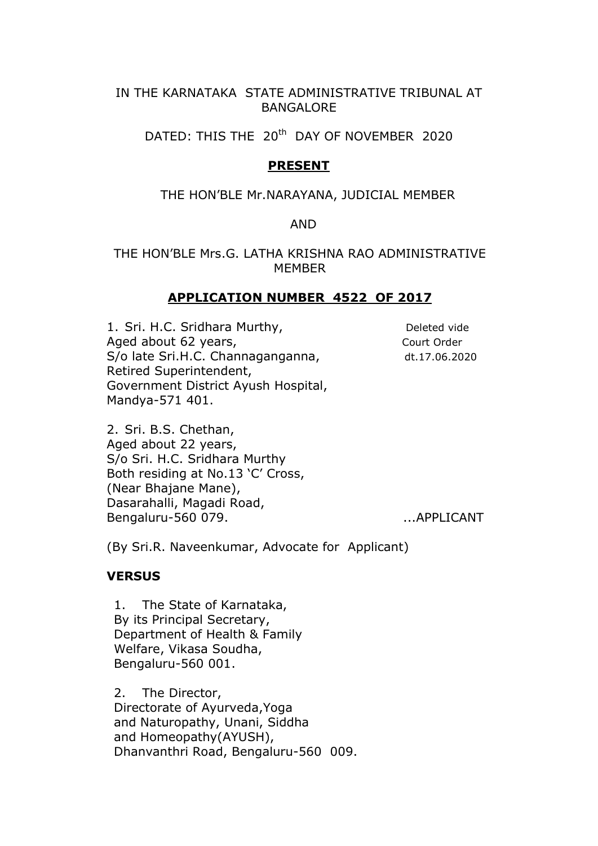# IN THE KARNATAKA STATE ADMINISTRATIVE TRIBUNAL AT **BANGALORE**

DATED: THIS THE 20<sup>th</sup> DAY OF NOVEMBER 2020

# PRESENT

### THE HON'BLE Mr.NARAYANA, JUDICIAL MEMBER

#### AND

## THE HON'BLE Mrs.G. LATHA KRISHNA RAO ADMINISTRATIVE MEMBER

### APPLICATION NUMBER 4522 OF 2017

1. Sri. H.C. Sridhara Murthy, Deleted vide Aged about 62 years, The Court Order S/o late Sri.H.C. Channaganganna, dt.17.06.2020 Retired Superintendent, Government District Ayush Hospital, Mandya-571 401.

2. Sri. B.S. Chethan, Aged about 22 years, S/o Sri. H.C. Sridhara Murthy Both residing at No.13 'C' Cross, (Near Bhajane Mane), Dasarahalli, Magadi Road, Bengaluru-560 079. ...APPLICANT

(By Sri.R. Naveenkumar, Advocate for Applicant)

### **VERSUS**

1. The State of Karnataka, By its Principal Secretary, Department of Health & Family Welfare, Vikasa Soudha, Bengaluru-560 001.

2. The Director, Directorate of Ayurveda,Yoga and Naturopathy, Unani, Siddha and Homeopathy(AYUSH), Dhanvanthri Road, Bengaluru-560 009.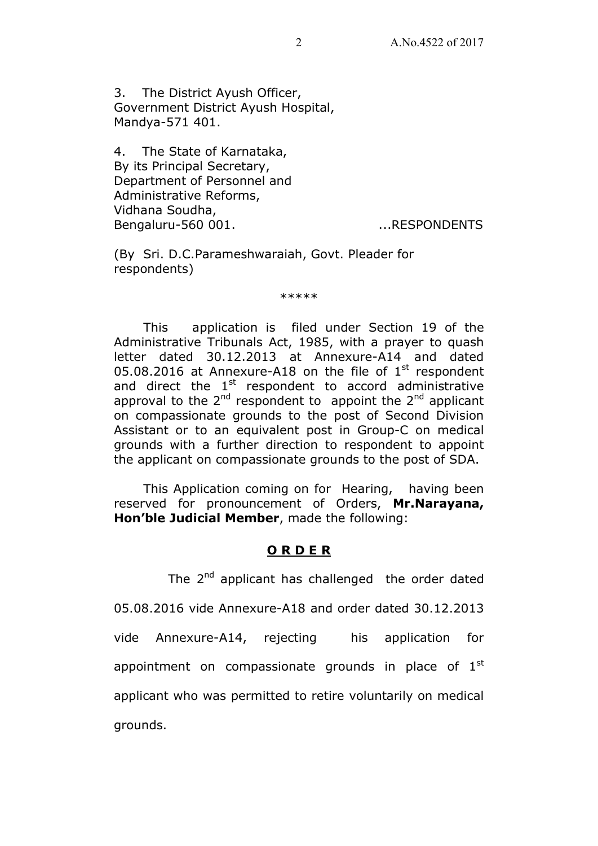3. The District Ayush Officer, Government District Ayush Hospital, Mandya-571 401.

4. The State of Karnataka, By its Principal Secretary, Department of Personnel and Administrative Reforms, Vidhana Soudha, Bengaluru-560 001. ...RESPONDENTS

(By Sri. D.C.Parameshwaraiah, Govt. Pleader for respondents)

\*\*\*\*\*

 This application is filed under Section 19 of the Administrative Tribunals Act, 1985, with a prayer to quash letter dated 30.12.2013 at Annexure-A14 and dated 05.08.2016 at Annexure-A18 on the file of  $1<sup>st</sup>$  respondent and direct the  $1<sup>st</sup>$  respondent to accord administrative approval to the  $2^{nd}$  respondent to appoint the  $2^{nd}$  applicant on compassionate grounds to the post of Second Division Assistant or to an equivalent post in Group-C on medical grounds with a further direction to respondent to appoint the applicant on compassionate grounds to the post of SDA.

 This Application coming on for Hearing, having been reserved for pronouncement of Orders, Mr.Narayana, Hon'ble Judicial Member, made the following:

# O R D E R

The  $2^{nd}$  applicant has challenged the order dated 05.08.2016 vide Annexure-A18 and order dated 30.12.2013 vide Annexure-A14, rejecting his application for appointment on compassionate grounds in place of  $1<sup>st</sup>$ applicant who was permitted to retire voluntarily on medical grounds.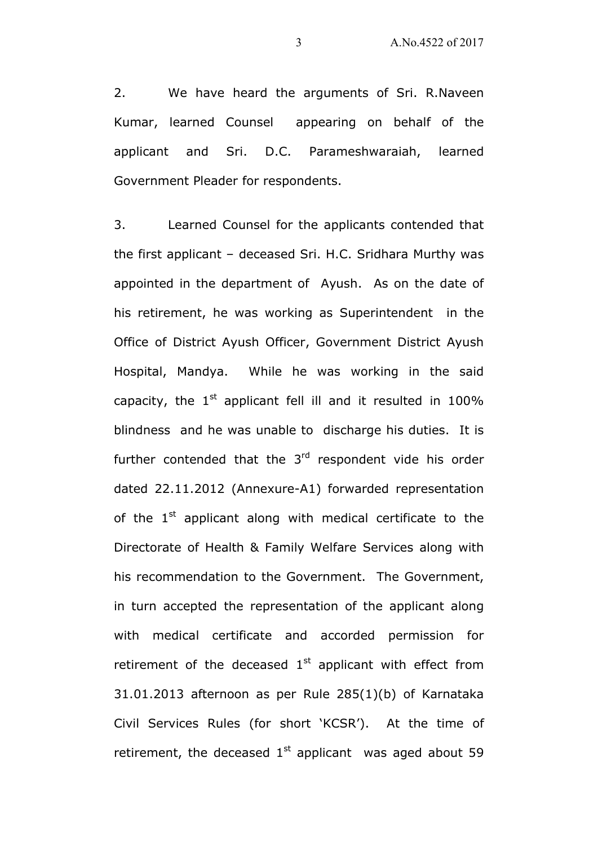2. We have heard the arguments of Sri. R.Naveen Kumar, learned Counsel appearing on behalf of the applicant and Sri. D.C. Parameshwaraiah, learned Government Pleader for respondents.

3. Learned Counsel for the applicants contended that the first applicant – deceased Sri. H.C. Sridhara Murthy was appointed in the department of Ayush. As on the date of his retirement, he was working as Superintendent in the Office of District Ayush Officer, Government District Ayush Hospital, Mandya. While he was working in the said capacity, the  $1<sup>st</sup>$  applicant fell ill and it resulted in 100% blindness and he was unable to discharge his duties. It is further contended that the  $3<sup>rd</sup>$  respondent vide his order dated 22.11.2012 (Annexure-A1) forwarded representation of the  $1<sup>st</sup>$  applicant along with medical certificate to the Directorate of Health & Family Welfare Services along with his recommendation to the Government. The Government, in turn accepted the representation of the applicant along with medical certificate and accorded permission for retirement of the deceased  $1<sup>st</sup>$  applicant with effect from 31.01.2013 afternoon as per Rule 285(1)(b) of Karnataka Civil Services Rules (for short 'KCSR'). At the time of retirement, the deceased  $1<sup>st</sup>$  applicant was aged about 59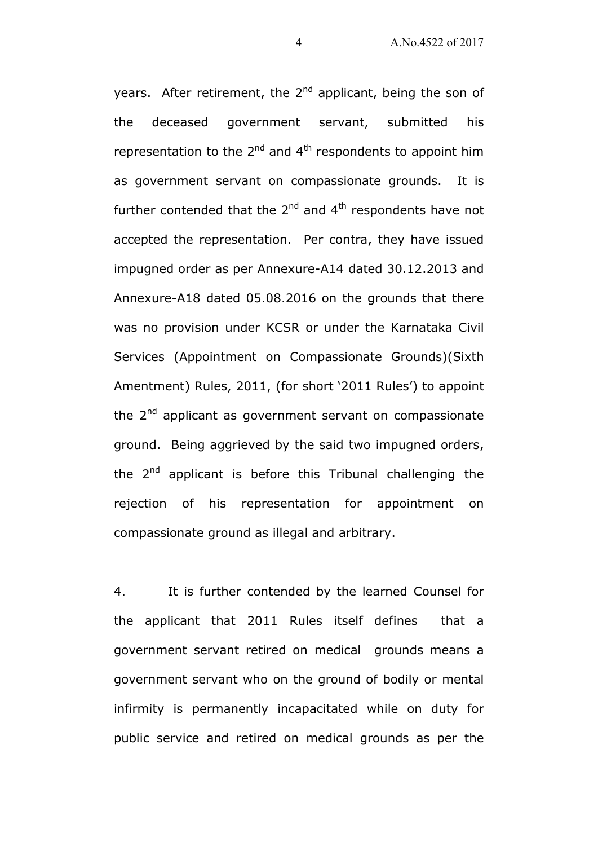years. After retirement, the  $2<sup>nd</sup>$  applicant, being the son of the deceased government servant, submitted his representation to the  $2^{nd}$  and  $4^{th}$  respondents to appoint him as government servant on compassionate grounds. It is further contended that the  $2^{nd}$  and  $4^{th}$  respondents have not accepted the representation. Per contra, they have issued impugned order as per Annexure-A14 dated 30.12.2013 and Annexure-A18 dated 05.08.2016 on the grounds that there was no provision under KCSR or under the Karnataka Civil Services (Appointment on Compassionate Grounds)(Sixth Amentment) Rules, 2011, (for short '2011 Rules') to appoint the  $2^{nd}$  applicant as government servant on compassionate ground. Being aggrieved by the said two impugned orders, the  $2^{nd}$  applicant is before this Tribunal challenging the rejection of his representation for appointment on compassionate ground as illegal and arbitrary.

4. It is further contended by the learned Counsel for the applicant that 2011 Rules itself defines that a government servant retired on medical grounds means a government servant who on the ground of bodily or mental infirmity is permanently incapacitated while on duty for public service and retired on medical grounds as per the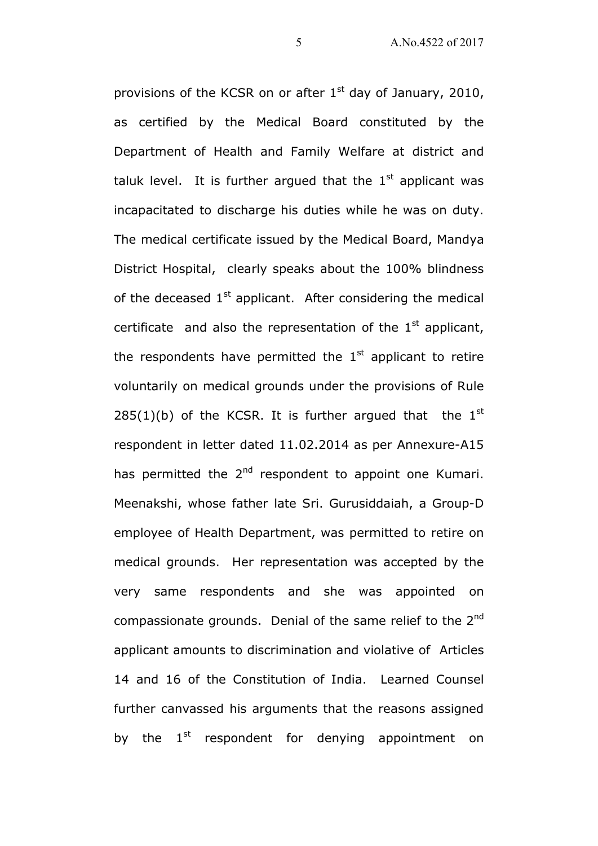provisions of the KCSR on or after  $1<sup>st</sup>$  day of January, 2010, as certified by the Medical Board constituted by the Department of Health and Family Welfare at district and taluk level. It is further argued that the  $1<sup>st</sup>$  applicant was incapacitated to discharge his duties while he was on duty. The medical certificate issued by the Medical Board, Mandya District Hospital, clearly speaks about the 100% blindness of the deceased  $1<sup>st</sup>$  applicant. After considering the medical certificate and also the representation of the  $1<sup>st</sup>$  applicant, the respondents have permitted the  $1<sup>st</sup>$  applicant to retire voluntarily on medical grounds under the provisions of Rule 285(1)(b) of the KCSR. It is further argued that the  $1<sup>st</sup>$ respondent in letter dated 11.02.2014 as per Annexure-A15 has permitted the  $2<sup>nd</sup>$  respondent to appoint one Kumari. Meenakshi, whose father late Sri. Gurusiddaiah, a Group-D employee of Health Department, was permitted to retire on medical grounds. Her representation was accepted by the very same respondents and she was appointed on compassionate grounds. Denial of the same relief to the 2<sup>nd</sup> applicant amounts to discrimination and violative of Articles 14 and 16 of the Constitution of India. Learned Counsel further canvassed his arguments that the reasons assigned by the  $1<sup>st</sup>$  respondent for denying appointment on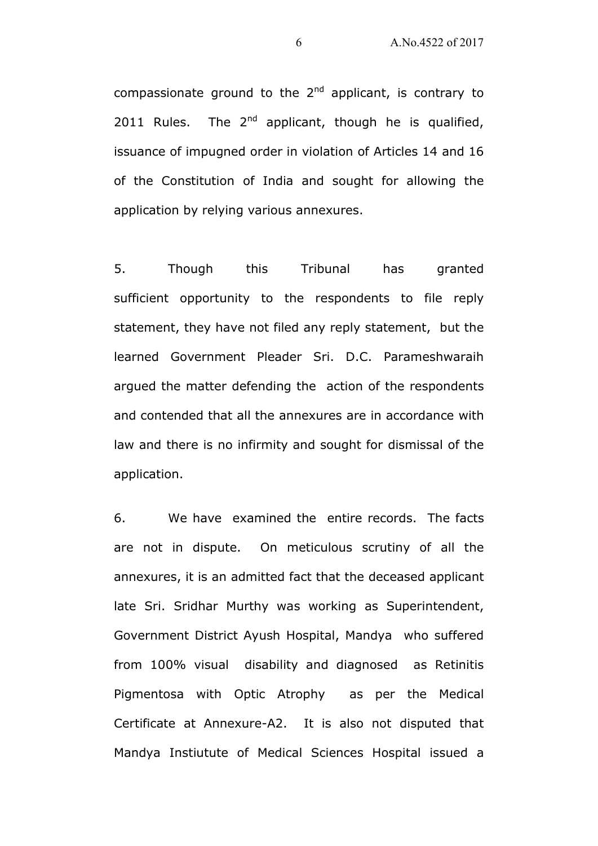compassionate ground to the  $2^{nd}$  applicant, is contrary to 2011 Rules. The  $2^{nd}$  applicant, though he is qualified, issuance of impugned order in violation of Articles 14 and 16 of the Constitution of India and sought for allowing the application by relying various annexures.

5. Though this Tribunal has granted sufficient opportunity to the respondents to file reply statement, they have not filed any reply statement, but the learned Government Pleader Sri. D.C. Parameshwaraih argued the matter defending the action of the respondents and contended that all the annexures are in accordance with law and there is no infirmity and sought for dismissal of the application.

6. We have examined the entire records. The facts are not in dispute. On meticulous scrutiny of all the annexures, it is an admitted fact that the deceased applicant late Sri. Sridhar Murthy was working as Superintendent, Government District Ayush Hospital, Mandya who suffered from 100% visual disability and diagnosed as Retinitis Pigmentosa with Optic Atrophy as per the Medical Certificate at Annexure-A2. It is also not disputed that Mandya Instiutute of Medical Sciences Hospital issued a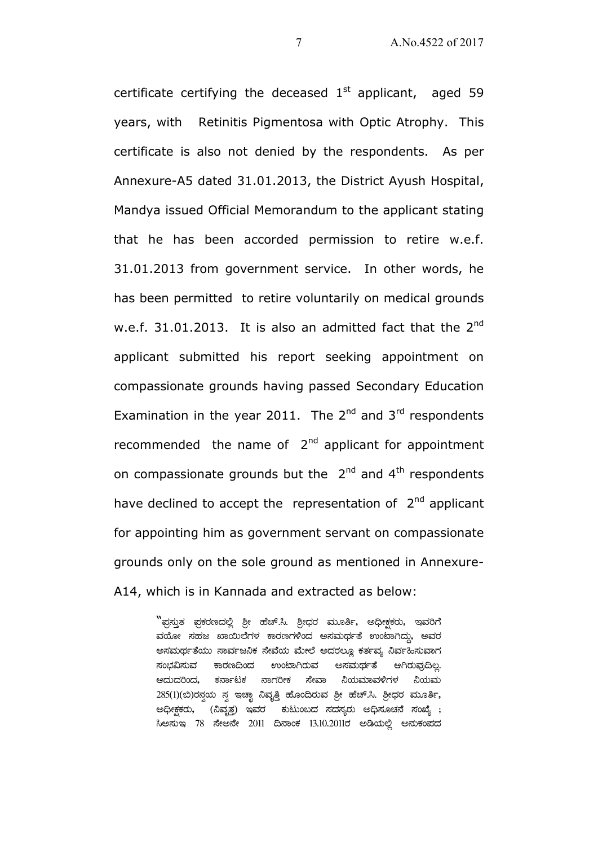certificate certifying the deceased  $1<sup>st</sup>$  applicant, aged 59 years, with Retinitis Pigmentosa with Optic Atrophy. This certificate is also not denied by the respondents. As per Annexure-A5 dated 31.01.2013, the District Ayush Hospital, Mandya issued Official Memorandum to the applicant stating that he has been accorded permission to retire w.e.f. 31.01.2013 from government service. In other words, he has been permitted to retire voluntarily on medical grounds w.e.f. 31.01.2013. It is also an admitted fact that the 2<sup>nd</sup> applicant submitted his report seeking appointment on compassionate grounds having passed Secondary Education Examination in the year 2011. The  $2^{nd}$  and  $3^{rd}$  respondents recommended the name of  $2<sup>nd</sup>$  applicant for appointment on compassionate grounds but the  $2^{nd}$  and  $4^{th}$  respondents have declined to accept the representation of 2<sup>nd</sup> applicant for appointing him as government servant on compassionate grounds only on the sole ground as mentioned in Annexure-A14, which is in Kannada and extracted as below:

> $\mathrm{``}$ ಫ್ತಸ್ತುತ ಫ್ರಕರಣದಲ್ಲಿ ಶ್ರೀ ಹೆಚ್.ಸಿ. ಶ್ರೀಧರ ಮೂರ್ತಿ, ಅಧೀಕ್ತಕರು, ಇವರಿಗೆ ವಯೋ ಸಹಜ ಖಾಯಿಲೆಗಳ ಕಾರಣಗಳಿಂದ ಅಸಮರ್ಥತೆ ಉಂಟಾಗಿದ್ದು, ಅವರ ಅಸಮರ್ಥತೆಯು ಸಾರ್ವಜನಿಕ ಸೇವೆಯ ಮೇಲೆ ಅದರಲ್ಲೂ ಕರ್ತವ್ಯ ನಿರ್ವಹಿಸುವಾಗ ನಂಭವಿಸುವ ಕಾರಣದಿಂದ ಉಂಟಾಗಿರುವ ಅಸಮರ್ಥತೆ ಆಗಿರುವುದಿಲ್ಲ. ಆದುದರಿಂದ, ಕರ್ನಾಟಕ ನಾಗರೀಕ ಸೇವಾ ನಿಯಮಾವಳಿಗಳ ನಿಯಮ 285(1)(ಬಿ)ರಸ್ವಯ ಸ್ವ ಇಚ್ಛಾ ನಿವೃತ್ತಿ ಹೊಂದಿರುವ ಶ್ರೀ ಹೆಚ್.ಸಿ. ಶ್ರೀಧರ ಮೂರ್ತಿ, ಅಧೀಕ್ಷಕರು, (ನಿವೃತ್ರ) ಇವರ ಕುಟುಂಬದ ಸದಸ್ಯರು ಅಧಿಸೂಚನೆ ಸಂಖ್ಯೆ ; ಸಿಅಸುಇ 78 ಸೇಅನೇ 2011 ದಿನಾಂಕ 13.10.2011ರ ಅಡಿಯಲ್ಲಿ ಅನುಕಂಪದ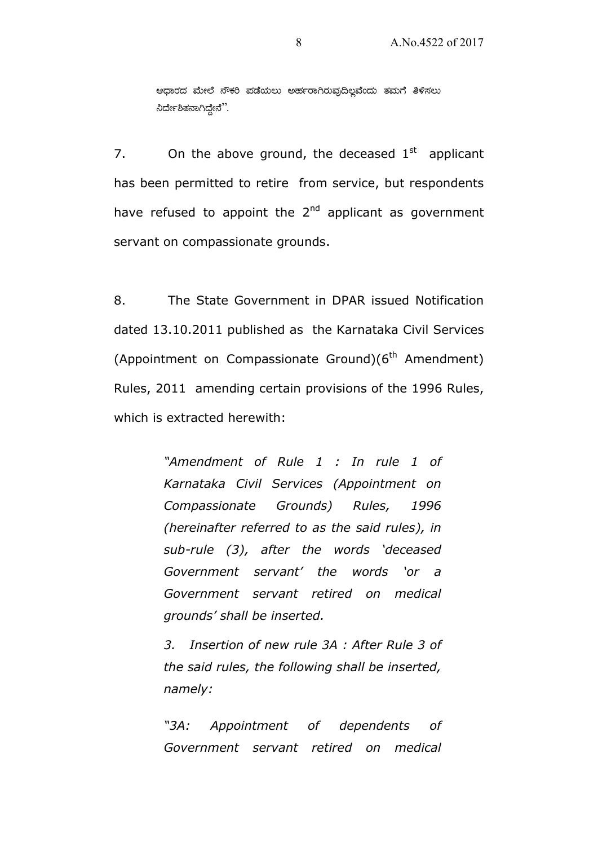ಆಧಾರದ ಮೇಲೆ ನೌಕರಿ ಪಡೆಯಲು ಅರ್ಹರಾಗಿರುವುದಿಲ್ಲವೆಂದು ತಮಗೆ ತಿಳಿಸಲು ನಿರ್ದೇಶಿತನಾಗಿದ್ದೇನೆ".

7. On the above ground, the deceased  $1<sup>st</sup>$  applicant has been permitted to retire from service, but respondents have refused to appoint the  $2<sup>nd</sup>$  applicant as government servant on compassionate grounds.

8. The State Government in DPAR issued Notification dated 13.10.2011 published as the Karnataka Civil Services (Appointment on Compassionate Ground) $(6<sup>th</sup>$  Amendment) Rules, 2011 amending certain provisions of the 1996 Rules, which is extracted herewith:

> "Amendment of Rule 1 : In rule 1 of Karnataka Civil Services (Appointment on Compassionate Grounds) Rules, 1996 (hereinafter referred to as the said rules), in sub-rule (3), after the words 'deceased Government servant' the words 'or a Government servant retired on medical grounds' shall be inserted.

> 3. Insertion of new rule 3A : After Rule 3 of the said rules, the following shall be inserted, namely:

> "3A: Appointment of dependents of Government servant retired on medical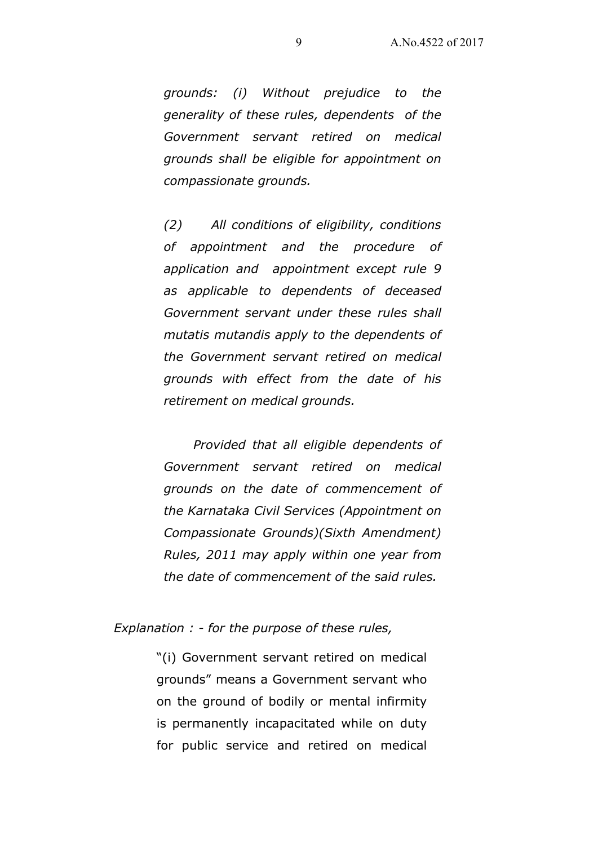grounds: (i) Without prejudice to the generality of these rules, dependents of the Government servant retired on medical grounds shall be eligible for appointment on compassionate grounds.

(2) All conditions of eligibility, conditions of appointment and the procedure of application and appointment except rule 9 as applicable to dependents of deceased Government servant under these rules shall mutatis mutandis apply to the dependents of the Government servant retired on medical grounds with effect from the date of his retirement on medical grounds.

 Provided that all eligible dependents of Government servant retired on medical grounds on the date of commencement of the Karnataka Civil Services (Appointment on Compassionate Grounds)(Sixth Amendment) Rules, 2011 may apply within one year from the date of commencement of the said rules.

#### Explanation : - for the purpose of these rules,

"(i) Government servant retired on medical grounds" means a Government servant who on the ground of bodily or mental infirmity is permanently incapacitated while on duty for public service and retired on medical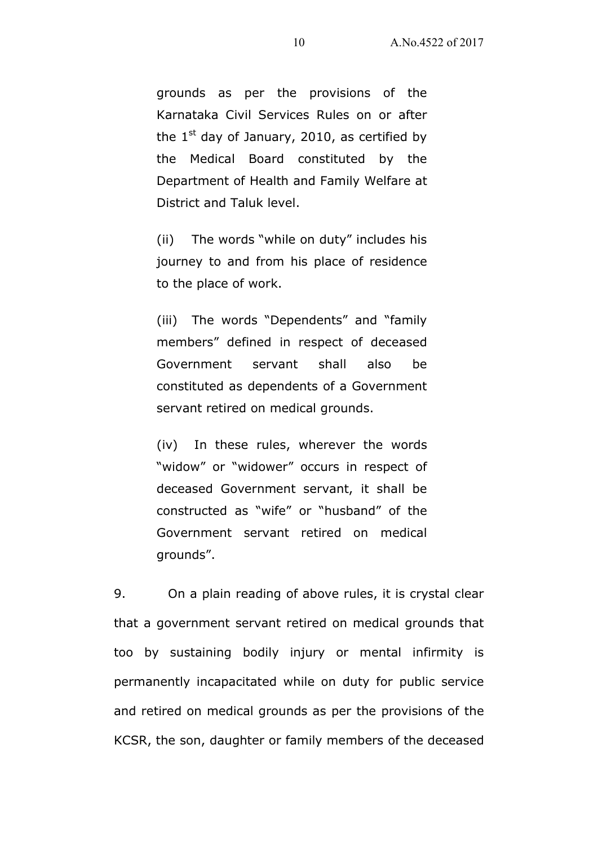grounds as per the provisions of the Karnataka Civil Services Rules on or after the  $1<sup>st</sup>$  day of January, 2010, as certified by the Medical Board constituted by the Department of Health and Family Welfare at District and Taluk level.

(ii) The words "while on duty" includes his journey to and from his place of residence to the place of work.

(iii) The words "Dependents" and "family members" defined in respect of deceased Government servant shall also be constituted as dependents of a Government servant retired on medical grounds.

(iv) In these rules, wherever the words "widow" or "widower" occurs in respect of deceased Government servant, it shall be constructed as "wife" or "husband" of the Government servant retired on medical grounds".

9. On a plain reading of above rules, it is crystal clear that a government servant retired on medical grounds that too by sustaining bodily injury or mental infirmity is permanently incapacitated while on duty for public service and retired on medical grounds as per the provisions of the KCSR, the son, daughter or family members of the deceased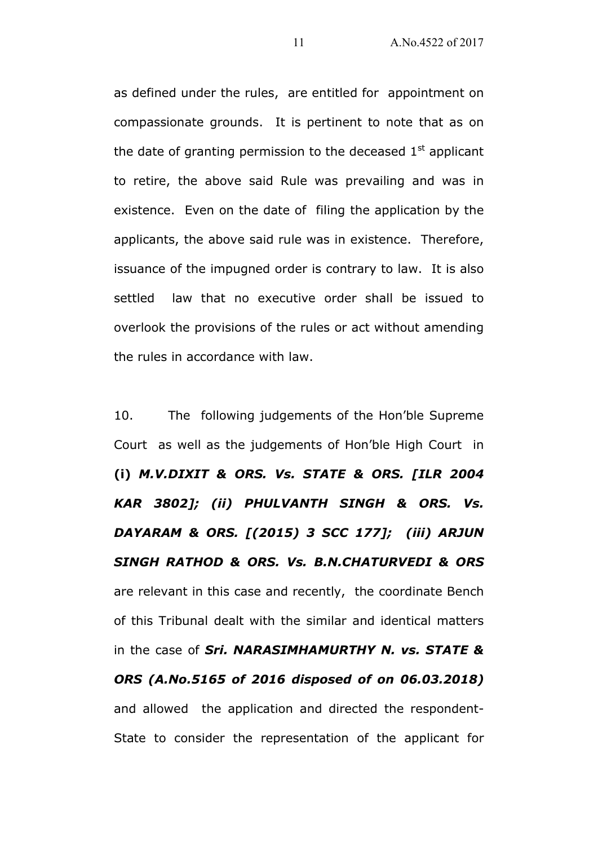as defined under the rules, are entitled for appointment on compassionate grounds. It is pertinent to note that as on the date of granting permission to the deceased  $1<sup>st</sup>$  applicant to retire, the above said Rule was prevailing and was in existence. Even on the date of filing the application by the applicants, the above said rule was in existence. Therefore, issuance of the impugned order is contrary to law. It is also settled law that no executive order shall be issued to overlook the provisions of the rules or act without amending the rules in accordance with law.

10. The following judgements of the Hon'ble Supreme Court as well as the judgements of Hon'ble High Court in (i) M.V.DIXIT & ORS. Vs. STATE & ORS. [ILR 2004 KAR 3802]; (ii) PHULVANTH SINGH & ORS. Vs. DAYARAM & ORS. [(2015) 3 SCC 177]; (iii) ARJUN SINGH RATHOD & ORS. Vs. B.N.CHATURVEDI & ORS are relevant in this case and recently, the coordinate Bench of this Tribunal dealt with the similar and identical matters in the case of Sri. NARASIMHAMURTHY N. vs. STATE & ORS (A.No.5165 of 2016 disposed of on 06.03.2018) and allowed the application and directed the respondent-State to consider the representation of the applicant for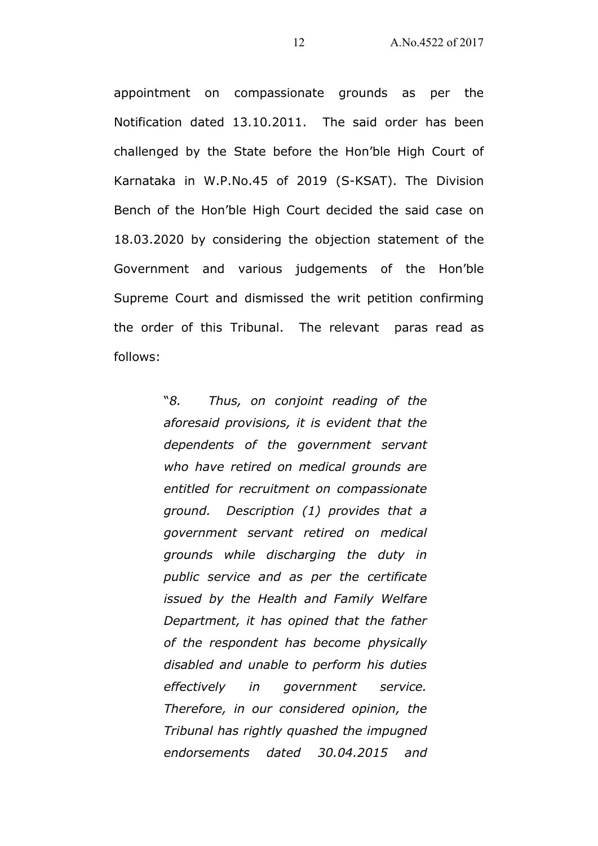appointment on compassionate grounds as per the Notification dated 13.10.2011. The said order has been challenged by the State before the Hon'ble High Court of Karnataka in W.P.No.45 of 2019 (S-KSAT). The Division Bench of the Hon'ble High Court decided the said case on 18.03.2020 by considering the objection statement of the Government and various judgements of the Hon'ble Supreme Court and dismissed the writ petition confirming the order of this Tribunal. The relevant paras read as follows:

> "8. Thus, on conjoint reading of the aforesaid provisions, it is evident that the dependents of the government servant who have retired on medical grounds are entitled for recruitment on compassionate ground. Description (1) provides that a government servant retired on medical grounds while discharging the duty in public service and as per the certificate issued by the Health and Family Welfare Department, it has opined that the father of the respondent has become physically disabled and unable to perform his duties effectively in government service. Therefore, in our considered opinion, the Tribunal has rightly quashed the impugned endorsements dated 30.04.2015 and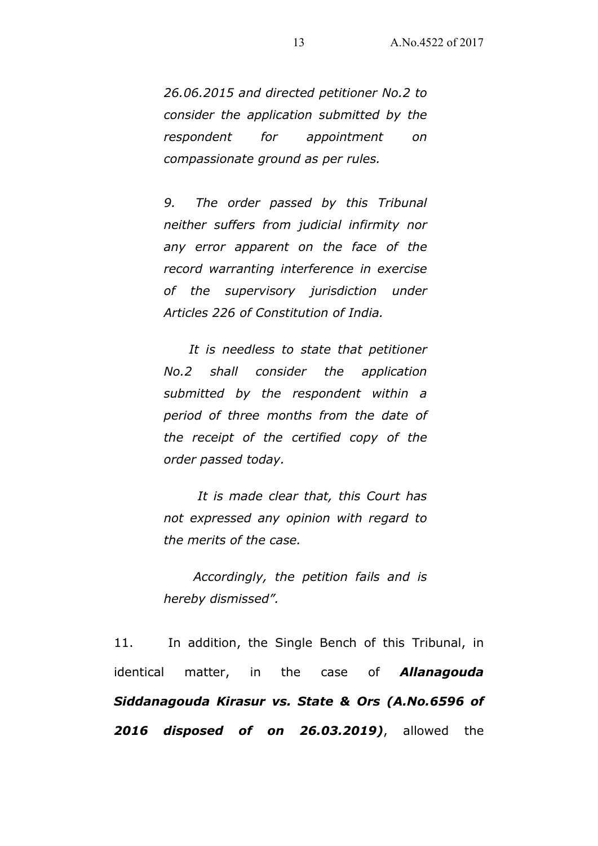26.06.2015 and directed petitioner No.2 to consider the application submitted by the respondent for appointment on compassionate ground as per rules.

9. The order passed by this Tribunal neither suffers from judicial infirmity nor any error apparent on the face of the record warranting interference in exercise of the supervisory jurisdiction under Articles 226 of Constitution of India.

 It is needless to state that petitioner No.2 shall consider the application submitted by the respondent within a period of three months from the date of the receipt of the certified copy of the order passed today.

 It is made clear that, this Court has not expressed any opinion with regard to the merits of the case.

 Accordingly, the petition fails and is hereby dismissed".

11. In addition, the Single Bench of this Tribunal, in identical matter, in the case of **Allanagouda** Siddanagouda Kirasur vs. State & Ors (A.No.6596 of **2016 disposed of on 26.03.2019**), allowed the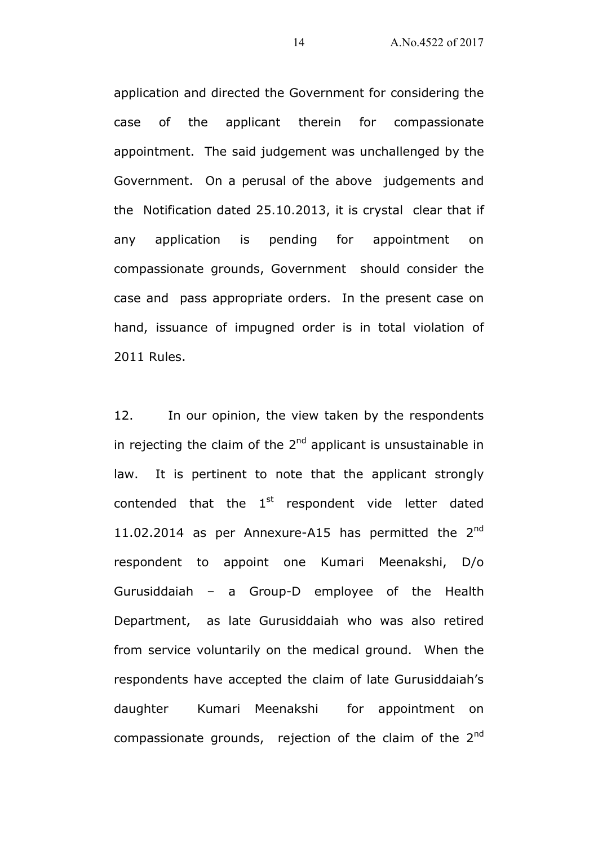application and directed the Government for considering the case of the applicant therein for compassionate appointment. The said judgement was unchallenged by the Government. On a perusal of the above judgements and the Notification dated 25.10.2013, it is crystal clear that if any application is pending for appointment on compassionate grounds, Government should consider the case and pass appropriate orders. In the present case on hand, issuance of impugned order is in total violation of 2011 Rules.

12. In our opinion, the view taken by the respondents in rejecting the claim of the  $2<sup>nd</sup>$  applicant is unsustainable in law. It is pertinent to note that the applicant strongly contended that the  $1<sup>st</sup>$  respondent vide letter dated 11.02.2014 as per Annexure-A15 has permitted the  $2^{nd}$ respondent to appoint one Kumari Meenakshi, D/o Gurusiddaiah – a Group-D employee of the Health Department, as late Gurusiddaiah who was also retired from service voluntarily on the medical ground. When the respondents have accepted the claim of late Gurusiddaiah's daughter Kumari Meenakshi for appointment on compassionate grounds, rejection of the claim of the  $2<sup>nd</sup>$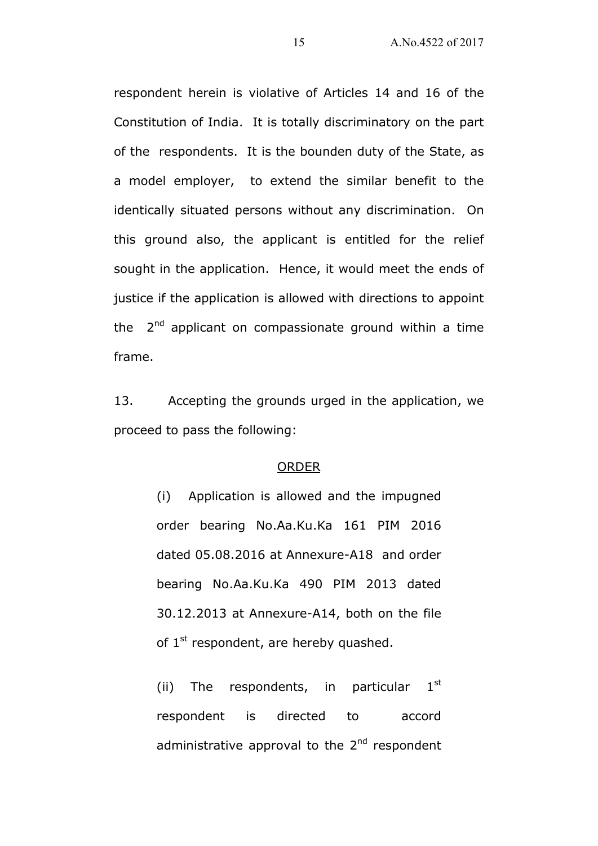respondent herein is violative of Articles 14 and 16 of the Constitution of India. It is totally discriminatory on the part of the respondents. It is the bounden duty of the State, as a model employer, to extend the similar benefit to the identically situated persons without any discrimination. On this ground also, the applicant is entitled for the relief sought in the application. Hence, it would meet the ends of justice if the application is allowed with directions to appoint the  $2<sup>nd</sup>$  applicant on compassionate ground within a time frame.

13. Accepting the grounds urged in the application, we proceed to pass the following:

#### ORDER

(i) Application is allowed and the impugned order bearing No.Aa.Ku.Ka 161 PIM 2016 dated 05.08.2016 at Annexure-A18 and order bearing No.Aa.Ku.Ka 490 PIM 2013 dated 30.12.2013 at Annexure-A14, both on the file of  $1^{st}$  respondent, are hereby quashed.

(ii) The respondents, in particular  $1<sup>st</sup>$ respondent is directed to accord administrative approval to the  $2<sup>nd</sup>$  respondent